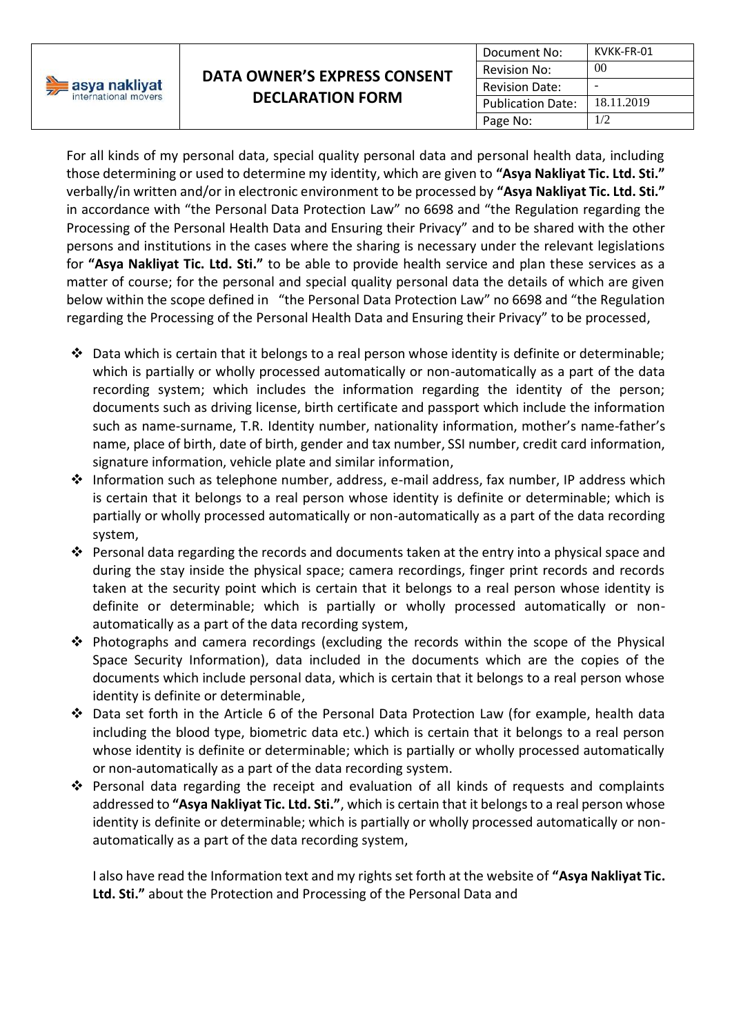

For all kinds of my personal data, special quality personal data and personal health data, including those determining or used to determine my identity, which are given to **"Asya Nakliyat Tic. Ltd. Sti."**  verbally/in written and/or in electronic environment to be processed by **"Asya Nakliyat Tic. Ltd. Sti."**  in accordance with "the Personal Data Protection Law" no 6698 and "the Regulation regarding the Processing of the Personal Health Data and Ensuring their Privacy" and to be shared with the other persons and institutions in the cases where the sharing is necessary under the relevant legislations for **"Asya Nakliyat Tic. Ltd. Sti."** to be able to provide health service and plan these services as a matter of course; for the personal and special quality personal data the details of which are given below within the scope defined in "the Personal Data Protection Law" no 6698 and "the Regulation regarding the Processing of the Personal Health Data and Ensuring their Privacy" to be processed,

- $\cdot \cdot$  Data which is certain that it belongs to a real person whose identity is definite or determinable; which is partially or wholly processed automatically or non-automatically as a part of the data recording system; which includes the information regarding the identity of the person; documents such as driving license, birth certificate and passport which include the information such as name-surname, T.R. Identity number, nationality information, mother's name-father's name, place of birth, date of birth, gender and tax number, SSI number, credit card information, signature information, vehicle plate and similar information,
- Information such as telephone number, address, e-mail address, fax number, IP address which is certain that it belongs to a real person whose identity is definite or determinable; which is partially or wholly processed automatically or non-automatically as a part of the data recording system,
- Personal data regarding the records and documents taken at the entry into a physical space and during the stay inside the physical space; camera recordings, finger print records and records taken at the security point which is certain that it belongs to a real person whose identity is definite or determinable; which is partially or wholly processed automatically or nonautomatically as a part of the data recording system,
- Photographs and camera recordings (excluding the records within the scope of the Physical Space Security Information), data included in the documents which are the copies of the documents which include personal data, which is certain that it belongs to a real person whose identity is definite or determinable,
- Data set forth in the Article 6 of the Personal Data Protection Law (for example, health data including the blood type, biometric data etc.) which is certain that it belongs to a real person whose identity is definite or determinable; which is partially or wholly processed automatically or non-automatically as a part of the data recording system.
- $\div$  Personal data regarding the receipt and evaluation of all kinds of requests and complaints addressed to **"Asya Nakliyat Tic. Ltd. Sti."**, which is certain that it belongs to a real person whose identity is definite or determinable; which is partially or wholly processed automatically or nonautomatically as a part of the data recording system,

I also have read the Information text and my rights set forth at the website of **"Asya Nakliyat Tic. Ltd. Sti."** about the Protection and Processing of the Personal Data and